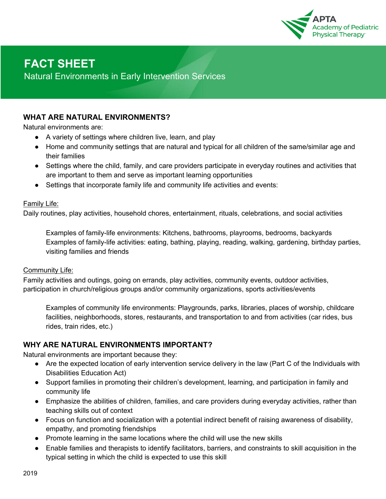

# **FACT SHEET**

Natural Environments in Early Intervention Services

# **WHAT ARE NATURAL ENVIRONMENTS?**

Natural environments are:

- A variety of settings where children live, learn, and play
- Home and community settings that are natural and typical for all children of the same/similar age and their families
- Settings where the child, family, and care providers participate in everyday routines and activities that are important to them and serve as important learning opportunities
- Settings that incorporate family life and community life activities and events:

#### **Family Life:**

Daily routines, play activities, household chores, entertainment, rituals, celebrations, and social activities

Examples of family-life environments: Kitchens, bathrooms, playrooms, bedrooms, backyards Examples of family-life activities: eating, bathing, playing, reading, walking, gardening, birthday parties, visiting families and friends

#### Community Life:

Family activities and outings, going on errands, play activities, community events, outdoor activities, participation in church/religious groups and/or community organizations, sports activities/events

Examples of community life environments: Playgrounds, parks, libraries, places of worship, childcare facilities, neighborhoods, stores, restaurants, and transportation to and from activities (car rides, bus rides, train rides, etc.)

## **WHY ARE NATURAL ENVIRONMENTS IMPORTANT?**

Natural environments are important because they:

- Are the expected location of early intervention service delivery in the law (Part C of the Individuals with Disabilities Education Act)
- Support families in promoting their children's development, learning, and participation in family and community life
- Emphasize the abilities of children, families, and care providers during everyday activities, rather than teaching skills out of context
- Focus on function and socialization with a potential indirect benefit of raising awareness of disability, empathy, and promoting friendships
- Promote learning in the same locations where the child will use the new skills
- Enable families and therapists to identify facilitators, barriers, and constraints to skill acquisition in the typical setting in which the child is expected to use this skill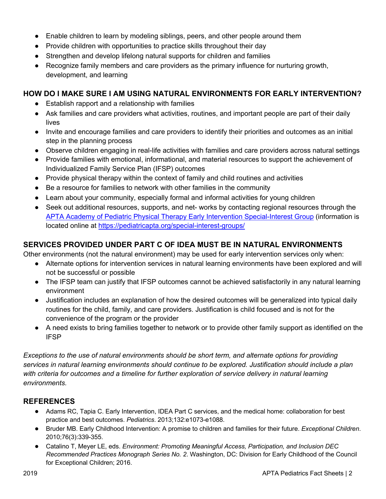- Enable children to learn by modeling siblings, peers, and other people around them
- Provide children with opportunities to practice skills throughout their day
- Strengthen and develop lifelong natural supports for children and families
- Recognize family members and care providers as the primary influence for nurturing growth, development, and learning

## **HOW DO I MAKE SURE I AM USING NATURAL ENVIRONMENTS FOR EARLY INTERVENTION?**

- Establish rapport and a relationship with families
- Ask families and care providers what activities, routines, and important people are part of their daily lives
- Invite and encourage families and care providers to identify their priorities and outcomes as an initial step in the planning process
- Observe children engaging in real-life activities with families and care providers across natural settings
- Provide families with emotional, informational, and material resources to support the achievement of Individualized Family Service Plan (IFSP) outcomes
- Provide physical therapy within the context of family and child routines and activities
- Be a resource for families to network with other families in the community
- Learn about your community, especially formal and informal activities for young children
- Seek out additional resources, supports, and net- works by contacting regional resources through the APTA Academy of Pediatric Physical Therapy Early Intervention Special-Interest Group (information is located online at https://pediatricapta.org/special-interest-groups/

# **SERVICES PROVIDED UNDER PART C OF IDEA MUST BE IN NATURAL ENVIRONMENTS**

Other environments (not the natural environment) may be used for early intervention services only when:

- Alternate options for intervention services in natural learning environments have been explored and will not be successful or possible
- The IFSP team can justify that IFSP outcomes cannot be achieved satisfactorily in any natural learning environment
- Justification includes an explanation of how the desired outcomes will be generalized into typical daily routines for the child, family, and care providers. Justification is child focused and is not for the convenience of the program or the provider
- A need exists to bring families together to network or to provide other family support as identified on the IFSP

*Exceptions to the use of natural environments should be short term, and alternate options for providing services in natural learning environments should continue to be explored. Justification should include a plan*  with criteria for outcomes and a timeline for further exploration of service delivery in natural learning *environments.*

# **REFERENCES**

- Adams RC, Tapia C. Early Intervention, IDEA Part C services, and the medical home: collaboration for best practice and best outcomes. *Pediatrics*. 2013;132:e1073-e1088.
- Bruder MB. Early Childhood Intervention: A promise to children and families for their future. *Exceptional Children*. 2010;76(3):339-355.
- Catalino T, Meyer LE, eds. *Environment: Promoting Meaningful Access, Participation, and Inclusion DEC Recommended Practices Monograph Series No. 2*. Washington, DC: Division for Early Childhood of the Council for Exceptional Children; 2016.